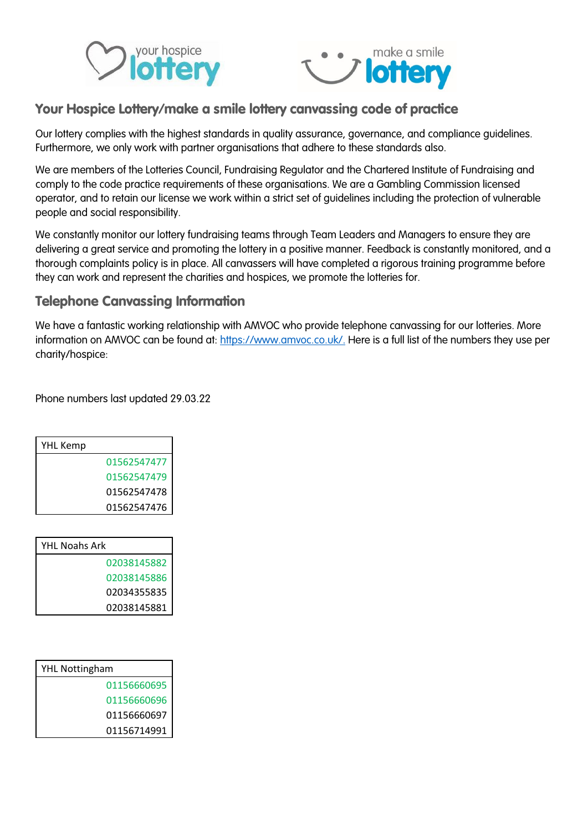



## Your Hospice Lottery/make a smile lottery canvassing code of practice

Our lottery complies with the highest standards in quality assurance, governance, and compliance guidelines. Furthermore, we only work with partner organisations that adhere to these standards also.

We are members of the Lotteries Council, Fundraising Regulator and the Chartered Institute of Fundraising and comply to the code practice requirements of these organisations. We are a Gambling Commission licensed operator, and to retain our license we work within a strict set of guidelines including the protection of vulnerable people and social responsibility.

We constantly monitor our lottery fundraising teams through Team Leaders and Managers to ensure they are delivering a great service and promoting the lottery in a positive manner. Feedback is constantly monitored, and a thorough complaints policy is in place. All canvassers will have completed a rigorous training programme before they can work and represent the charities and hospices, we promote the lotteries for.

## Telephone Canvassing Information

We have a fantastic working relationship with AMVOC who provide telephone canvassing for our lotteries. More information on AMVOC can be found at: [https://www.amvoc.co.uk/.](https://www.amvoc.co.uk/) Here is a full list of the numbers they use per charity/hospice:

Phone numbers last updated 29.03.22

| YHL Kemp |             |
|----------|-------------|
|          | 01562547477 |
|          | 01562547479 |
|          | 01562547478 |
|          | 01562547476 |

| YHL Noahs Ark |  |
|---------------|--|
| 02038145882   |  |
| 02038145886   |  |
| 02034355835   |  |
| 02038145881   |  |

| <b>YHL Nottingham</b> |             |
|-----------------------|-------------|
|                       | 01156660695 |
|                       | 01156660696 |
|                       | 01156660697 |
|                       | 01156714991 |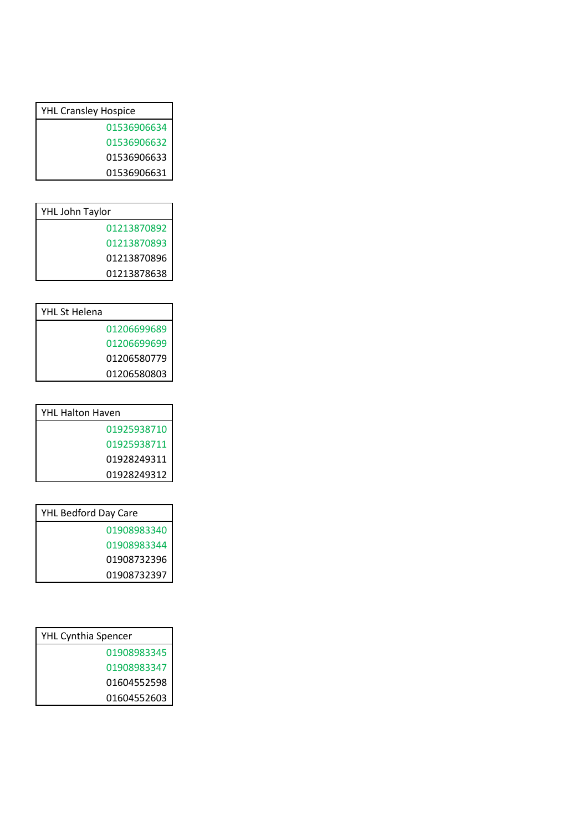| <b>YHL Cransley Hospice</b> |
|-----------------------------|
| 01536906634                 |
| 01536906632                 |
| 01536906633                 |
| 01536906631                 |
|                             |

| YHL John Taylor |             |
|-----------------|-------------|
|                 | 01213870892 |
|                 | 01213870893 |
|                 | 01213870896 |
|                 | 01213878638 |

| YHL St Helena |             |
|---------------|-------------|
|               | 01206699689 |
|               | 01206699699 |
|               | 01206580779 |
|               | 01206580803 |

| <b>YHL Halton Haven</b> |
|-------------------------|
| 01925938710             |
| 01925938711             |
| 01928249311             |
| 01928249312             |

| <b>YHL Bedford Day Care</b> |
|-----------------------------|
| 01908983340                 |
| 01908983344                 |
| 01908732396                 |
| 01908732397                 |

| <b>YHL Cynthia Spencer</b> |
|----------------------------|
| 01908983345                |
| 01908983347                |
| 01604552598                |
| 01604552603                |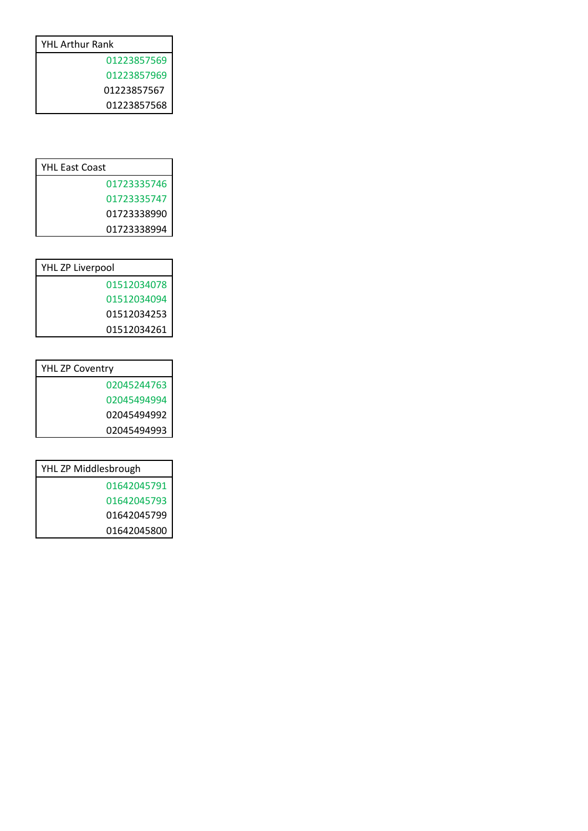| <b>YHL Arthur Rank</b> |
|------------------------|
| 01223857569            |
| 01223857969            |
| 01223857567            |
| 01223857568            |
|                        |

| <b>YHL East Coast</b> |
|-----------------------|
| 01723335746           |
| 01723335747           |
| 01723338990           |
| 01723338994           |

| YHL ZP Liverpool |  |
|------------------|--|
| 01512034078      |  |
| 01512034094      |  |
| 01512034253      |  |
| 01512034261      |  |

| <b>YHL ZP Coventry</b> |             |
|------------------------|-------------|
|                        | 02045244763 |
|                        | 02045494994 |
|                        | 02045494992 |
|                        | 02045494993 |

| YHL ZP Middlesbrough |             |
|----------------------|-------------|
|                      | 01642045791 |
|                      | 01642045793 |
|                      | 01642045799 |
|                      | 01642045800 |